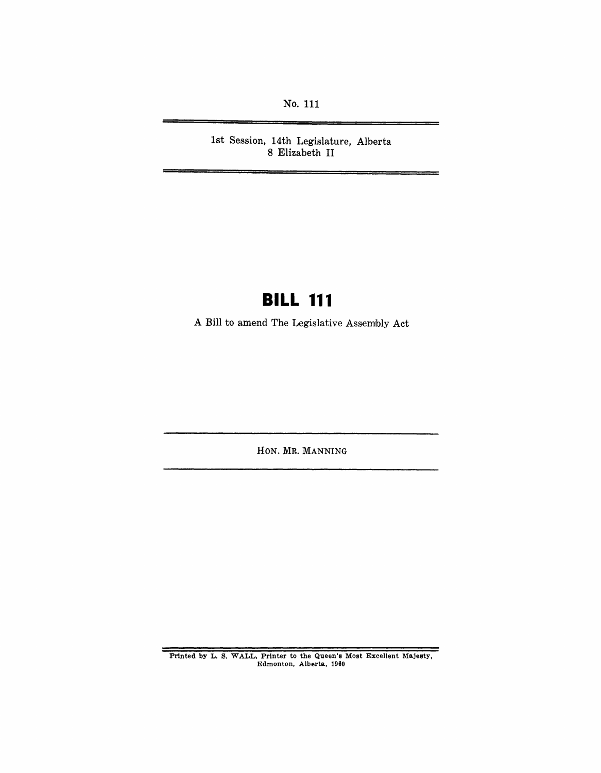No. **111** 

1st Session, 14th Legislature, Alberta 8 Elizabeth II

# **BILL 111**

A Bill to amend The Legislative Assembly Act

HON. MR. MANNING

Printed by L. S. WALL, Printer to the Queen's Most Excellent Majesty, Edmonton, Alberta, 1960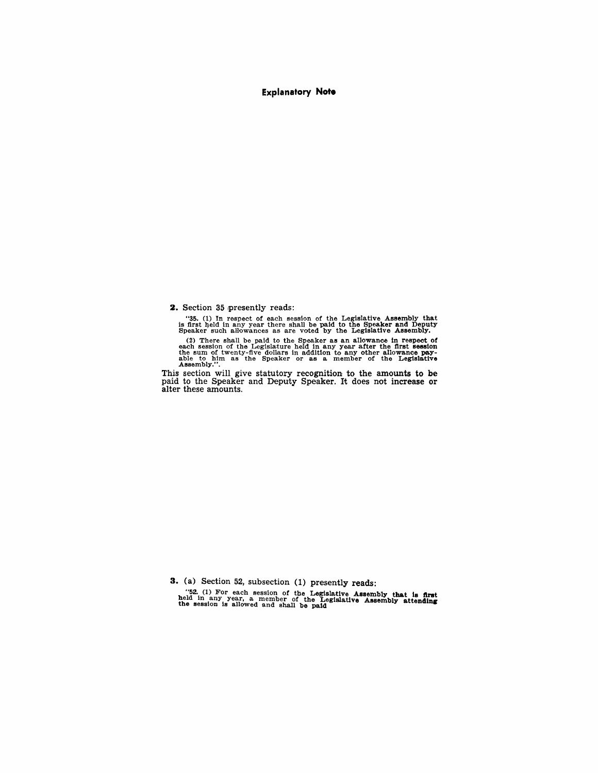#### **Explanatory Note**

2. Section 35 presently reads:

"35. (1) In respect of each session of the Legislative Assembly that<br>is first held in any year there shall be paid to the Speaker and Deputy<br>Speaker such aHowances as are voted by the Legislative Assembly.

(2) There shall be paid to the Speaker as an allowance in respect of each session of the Legislature held in any year after the first session the sum of twenty-five dollars in addition to any other allowance pay-<br>able to h

This section will give statutory recognition to the amounts to be paid to the Speaker and Deputy Speaker. It does not increase or alter these amounts.

3. (a) Section 52, subsection (1) presently reads:

"52. (1) For each session of the Legislative Assembly that is first<br>held in any year, a member of the Legislative Assembly attending<br>the session is allowed and shall be paid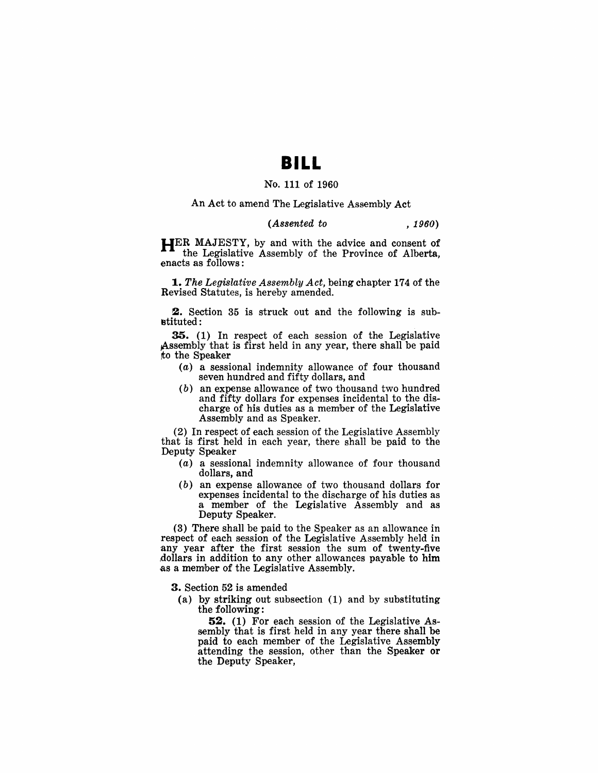### **BILL**

### No. 111 of 1960

An Act to amend The Legislative Assembly Act

#### (Assented to *, 1960)*

HER MAJESTY, by and with the advice and consent of the Legislative Assembly of the Province of Alberta, enacts as follows:

*1. The Legislative Assembly Act,* being chapter 174 of the Revised Statutes, is hereby amended.

2. Section 35 is struck out and the following is sub- ~tituted :

35. (1) In respect of each session of the Legislative Assembly that is first held in any year, there shall be paid rto the Speaker

- (a) a sessional indemnity allowance of four thousand seven hundred and fifty dollars, and
- (b) an expense allowance of two thousand two hundred and fifty dollars for expenses incidental to the discharge of his duties as a member of the Legislative Assembly and as Speaker.

(2) In respect of each session of the Legislative Assembly that is first held in each year, there shall be paid to the Deputy Speaker

- (a) a sessional indemnity allowance of four thousand dollars, and
- (b) an expense allowance of two thousand dollars for expenses incidental to the discharge of his duties as a member of the Legislative Assembly and as Deputy Speaker.

(3) There shall be paid to the Speaker as an allowance in respect of each session of the Legislative Assembly held in any year after the first session the sum of twenty-five dollars in addition to any other allowances payable to him as a member of the Legislative Assembly.

3. Section 52 is amended

(a) by striking out subsection (1) and by substituting the following:

52. (1) For each session of the Legislative Assembly that is first held in any year there shall be paid to each member of the Legislative Assembly attending the session, other than the Speaker or the Deputy Speaker,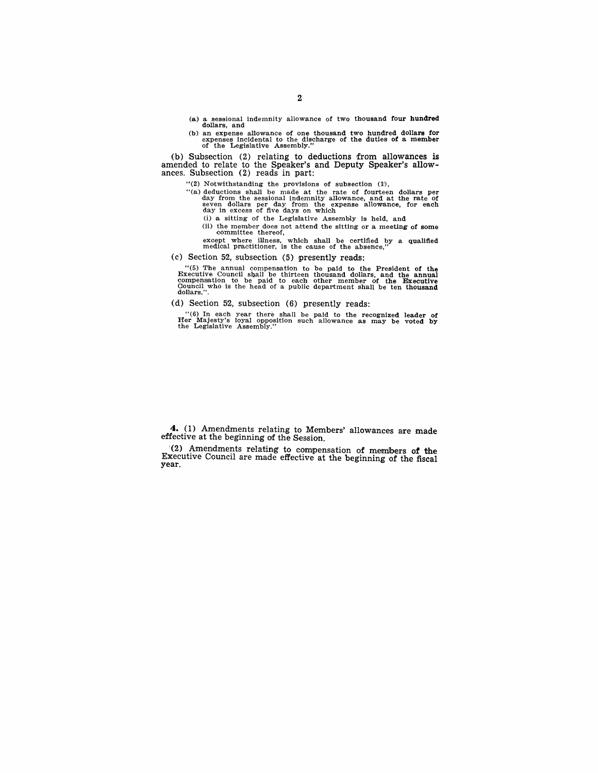(a) a sessional indemnity allowance of two thousand four hundred dollars, and

(b) an expense allowance of one thousand two hundred dollars for expenses incidental to the duties of a member of the Legislative Assembly."

(b) Subsection (2) relating to deductions from allowances is amended to relate to the Speaker's and Deputy Speaker's allow-<br>ances. Subsection (2) reads in part:

- "(2) Notwithstanding the provisions of subsection  $(1)$ ,
- "(a) deductions shall be made at the rate of fourteen dollars per day from the sessional indemnity allowance, and at the rate of seven dollars per day from the expense allowance, for each day in excess of five days on whi
	- (i) a sitting of the Legislative Assembly is held, and
	- (ii) the member does not attend the sitting or a meeting of some committee thereof,
	- except where illness, which shall be certified by a qualified medical practitioner, is the cause of the absence,"

(c) Section 52, subsection (5) presently reads:

"(5) The annual compensation to be paid to the President of the Executive Council shall be thirteen thousand dollars, and the annual compensation to be paid to each other member of the Executive Council who is the head of

(d) Section 52, subsection  $(6)$  presently reads:

"(6) In each year there shall be paid to the recognized leader of Her Majesty's loyal opposItion such allowance as may be voted by the Legislative As,sembly."

4. (1) Amendments relating to Members' allowances are made effective at the beginning of the Session.

!(2.) Amendments relating to' compensation of mem!bers **of** the Executive Oouncil are made effective at the beginning of the fiscal year.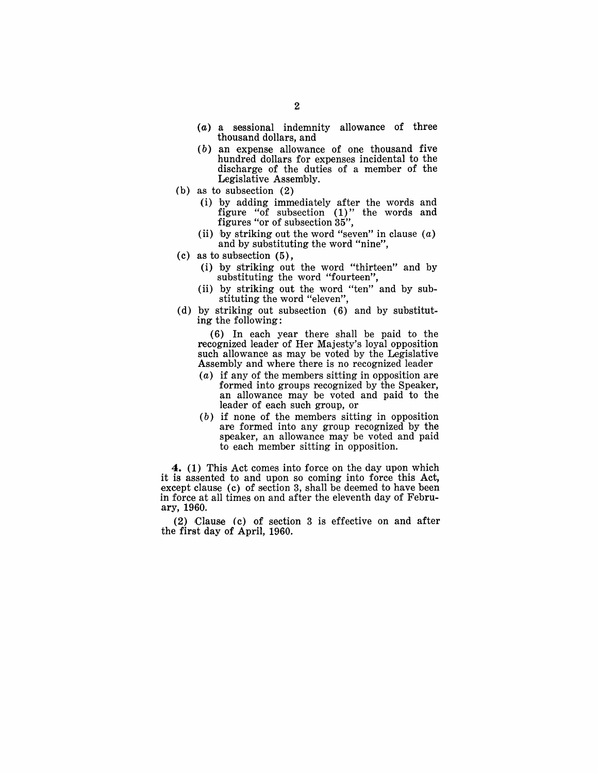- (a) a sessional indemnity allowance of three thousand dollars, and
- *( b* ) an expense allowance of one thousand five hundred dollars for expenses incidental to the discharge of the duties of a member of the Legislative Assembly.
- (b) as to subsection (2)
	- ( i) by adding immedia tely after the words and figure "of subsection (1)" the words and figures "or of subsection 35",
	- (ii) by striking out the word "seven" in clause  $(a)$ and by substituting the word "nine",
- (c) as to subsection (5),
	- (i) by striking out the word "thirteen" and by substituting the word "fourteen",
	- (ii) by striking out the word "ten" and by substituting the word "eleven",
- (d) by striking out subsection (6) and by substituting the following:

(6) In each year there shall be paid to the recognized leader of Her Majesty's loyal opposition such allowance as may be voted by the Legislative Assembly and where there is no recognized leader

- $(a)$  if any of the members sitting in opposition are formed into groups recognized by the Speaker, an allowance may be voted and paid to the leader of each such group, or
- (b) if none of the members sitting in opposition are formed into any group recognized by the speaker, an allowance may be voted and paid to each member sitting in opposition.

4. (1) This Act comes into force on the day upon which it is assented to and upon so coming into force this Act, except clause (c) of section 3, shall be deemed to have been in force at all times on and after the eleventh day of Febru- .ary, 1960.

(2) Clause (c) of section 3 is effective on and after the first day of April, 1960.